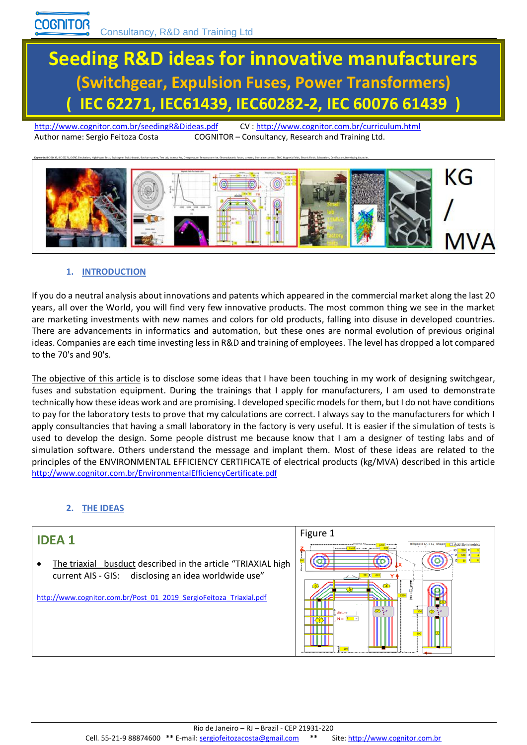# **Seeding R&D ideas for innovative manufacturers (Switchgear, Expulsion Fuses, Power Transformers) ( IEC 62271, IEC61439, IEC60282-2, IEC 60076 61439 )**

<http://www.cognitor.com.br/seedingR&Dideas.pdf>CV [: http://www.cognitor.com.br/curriculum.html](http://www.cognitor.com.br/curriculum.html) Author name: Sergio Feitoza Costa COGNITOR – Consultancy, Research and Training Ltd.



#### **1. INTRODUCTION**

If you do a neutral analysis about innovations and patents which appeared in the commercial market along the last 20 years, all over the World, you will find very few innovative products. The most common thing we see in the market are marketing investments with new names and colors for old products, falling into disuse in developed countries. There are advancements in informatics and automation, but these ones are normal evolution of previous original ideas. Companies are each time investing less in R&D and training of employees. The level has dropped a lot compared to the 70's and 90's.

The objective of this article is to disclose some ideas that I have been touching in my work of designing switchgear, fuses and substation equipment. During the trainings that I apply for manufacturers, I am used to demonstrate technically how these ideas work and are promising. I developed specific models for them, but I do not have conditions to pay for the laboratory tests to prove that my calculations are correct. I always say to the manufacturers for which I apply consultancies that having a small laboratory in the factory is very useful. It is easier if the simulation of tests is used to develop the design. Some people distrust me because know that I am a designer of testing labs and of simulation software. Others understand the message and implant them. Most of these ideas are related to the principles of the ENVIRONMENTAL EFFICIENCY CERTIFICATE of electrical products (kg/MVA) described in this article <http://www.cognitor.com.br/EnvironmentalEfficiencyCertificate.pdf>

#### **2. THE IDEAS**

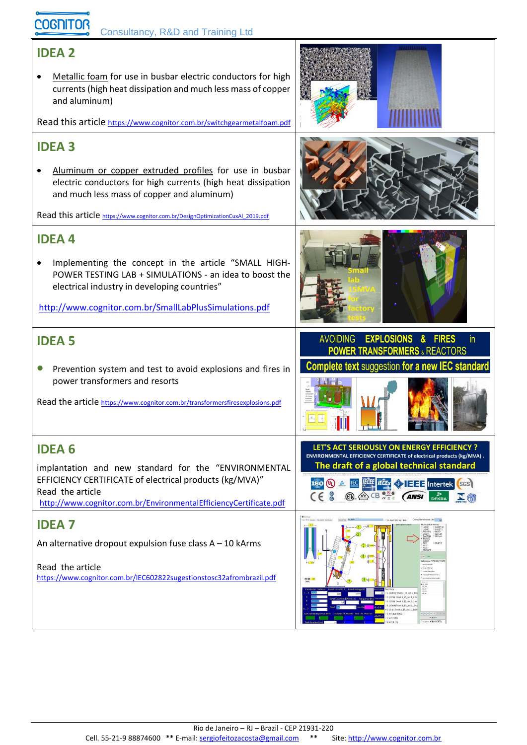## COGNITOR Consultancy, R&D and Training Ltd

### **IDEA 2**

• Metallic foam for use in busbar electric conductors for high currents (high heat dissipation and much less mass of copper and aluminum) Read this article <https://www.cognitor.com.br/switchgearmetalfoam.pdf> **IDEA 3** • Aluminum or copper extruded profiles for use in busbar electric conductors for high currents (high heat dissipation and much less mass of copper and aluminum) Read this article [https://www.cognitor.com.br/DesignOptimizationCuxAl\\_2019.pdf](https://www.cognitor.com.br/DesignOptimizationCuxAl_2019.pdf) **IDEA 4** • Implementing the concept in the article "SMALL HIGH-POWER TESTING LAB + SIMULATIONS - an idea to boost the electrical industry in developing countries" <http://www.cognitor.com.br/SmallLabPlusSimulations.pdf> AVOIDING EXPLOSIONS & FIRES in. **IDEA 5 POWER TRANSFORMERS & REACTORS Complete text suggestion for a new IEC standard** • Prevention system and test to avoid explosions and fires in power transformers and resorts Read the article <https://www.cognitor.com.br/transformersfiresexplosions.pdf> LET'S ACT SERIOUSLY ON ENERGY EFFICIENCY ? **IDEA 6** ENVIRONMENTAL EFFICIENCY CERTIFICATE of electrical products (kg/MVA). The draft of a global technical standard implantation and new standard for the "ENVIRONMENTAL EFFICIENCY CERTIFICATE of electrical products (kg/MVA)" **ISO (b)** A **IEC** *ECE TECE* **CEE Intertek** SGS Read the article  $C \in \text{S}$   $\text{OR} \times \text{CB}$   $\text{CS} \times \text{C}$ DEKRA **N** <http://www.cognitor.com.br/EnvironmentalEfficiencyCertificate.pdf> **IDEA 7** An alternative dropout expulsion fuse class A – 10 kArms Read the article <https://www.cognitor.com.br/IEC602822sugestionstosc32afrombrazil.pdf>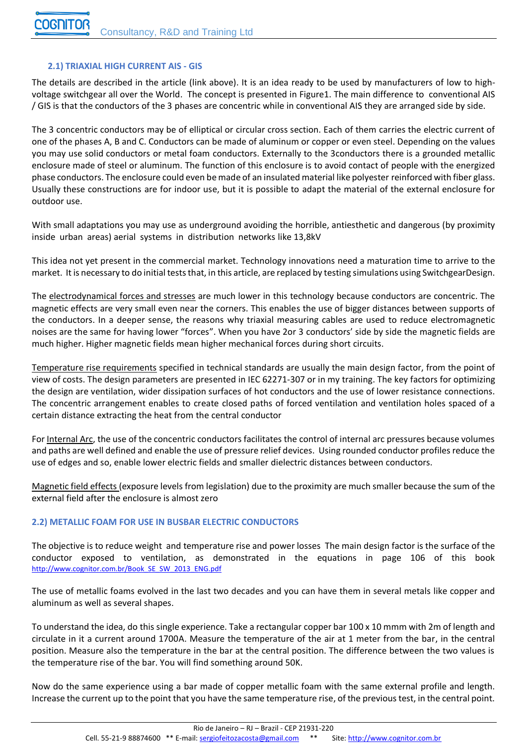#### **2.1) TRIAXIAL HIGH CURRENT AIS - GIS**

The details are described in the article (link above). It is an idea ready to be used by manufacturers of low to highvoltage switchgear all over the World. The concept is presented in Figure1. The main difference to conventional AIS / GIS is that the conductors of the 3 phases are concentric while in conventional AIS they are arranged side by side.

The 3 concentric conductors may be of elliptical or circular cross section. Each of them carries the electric current of one of the phases A, B and C. Conductors can be made of aluminum or copper or even steel. Depending on the values you may use solid conductors or metal foam conductors. Externally to the 3conductors there is a grounded metallic enclosure made of steel or aluminum. The function of this enclosure is to avoid contact of people with the energized phase conductors. The enclosure could even be made of an insulated material like polyester reinforced with fiber glass. Usually these constructions are for indoor use, but it is possible to adapt the material of the external enclosure for outdoor use.

With small adaptations you may use as underground avoiding the horrible, antiesthetic and dangerous (by proximity inside urban areas) aerial systems in distribution networks like 13,8kV

This idea not yet present in the commercial market. Technology innovations need a maturation time to arrive to the market. It is necessary to do initial teststhat, in this article, are replaced by testing simulations using SwitchgearDesign.

The electrodynamical forces and stresses are much lower in this technology because conductors are concentric. The magnetic effects are very small even near the corners. This enables the use of bigger distances between supports of the conductors. In a deeper sense, the reasons why triaxial measuring cables are used to reduce electromagnetic noises are the same for having lower "forces". When you have 2or 3 conductors' side by side the magnetic fields are much higher. Higher magnetic fields mean higher mechanical forces during short circuits.

Temperature rise requirements specified in technical standards are usually the main design factor, from the point of view of costs. The design parameters are presented in IEC 62271-307 or in my training. The key factors for optimizing the design are ventilation, wider dissipation surfaces of hot conductors and the use of lower resistance connections. The concentric arrangement enables to create closed paths of forced ventilation and ventilation holes spaced of a certain distance extracting the heat from the central conductor

For Internal Arc, the use of the concentric conductors facilitates the control of internal arc pressures because volumes and paths are well defined and enable the use of pressure relief devices. Using rounded conductor profiles reduce the use of edges and so, enable lower electric fields and smaller dielectric distances between conductors.

Magnetic field effects (exposure levels from legislation) due to the proximity are much smaller because the sum of the external field after the enclosure is almost zero

#### **2.2) METALLIC FOAM FOR USE IN BUSBAR ELECTRIC CONDUCTORS**

The objective is to reduce weight and temperature rise and power losses The main design factor is the surface of the conductor exposed to ventilation, as demonstrated in the equations in page 106 of this book [http://www.cognitor.com.br/Book\\_SE\\_SW\\_2013\\_ENG.pdf](http://www.cognitor.com.br/Book_SE_SW_2013_ENG.pdf)

The use of metallic foams evolved in the last two decades and you can have them in several metals like copper and aluminum as well as several shapes.

To understand the idea, do this single experience. Take a rectangular copper bar 100 x 10 mmm with 2m of length and circulate in it a current around 1700A. Measure the temperature of the air at 1 meter from the bar, in the central position. Measure also the temperature in the bar at the central position. The difference between the two values is the temperature rise of the bar. You will find something around 50K.

Now do the same experience using a bar made of copper metallic foam with the same external profile and length. Increase the current up to the point that you have the same temperature rise, of the previous test, in the central point.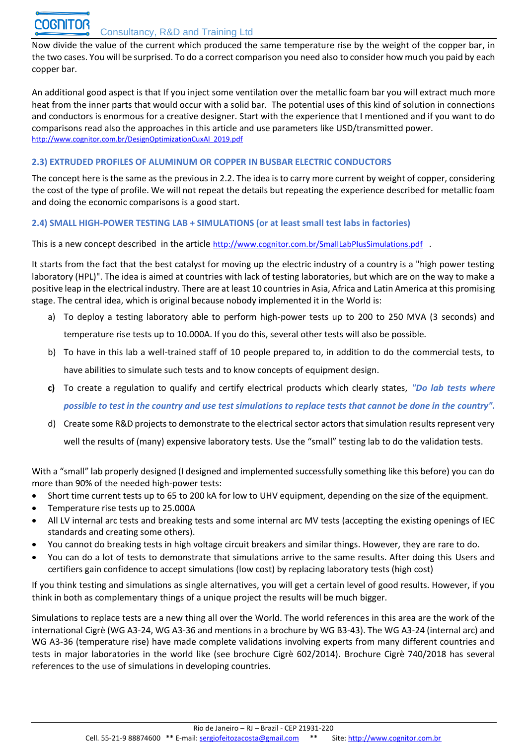Now divide the value of the current which produced the same temperature rise by the weight of the copper bar, in the two cases. You will be surprised. To do a correct comparison you need also to consider how much you paid by each copper bar.

An additional good aspect is that If you inject some ventilation over the metallic foam bar you will extract much more heat from the inner parts that would occur with a solid bar. The potential uses of this kind of solution in connections and conductors is enormous for a creative designer. Start with the experience that I mentioned and if you want to do comparisons read also the approaches in this article and use parameters like USD/transmitted power. [http://www.cognitor.com.br/DesignOptimizationCuxAl\\_2019.pdf](http://www.cognitor.com.br/DesignOptimizationCuxAl_2019.pdf)

#### **2.3) EXTRUDED PROFILES OF ALUMINUM OR COPPER IN BUSBAR ELECTRIC CONDUCTORS**

The concept here is the same as the previous in 2.2. The idea is to carry more current by weight of copper, considering the cost of the type of profile. We will not repeat the details but repeating the experience described for metallic foam and doing the economic comparisons is a good start.

**2.4) SMALL HIGH-POWER TESTING LAB + SIMULATIONS (or at least small test labs in factories)**

This is a new concept described in the article <http://www.cognitor.com.br/SmallLabPlusSimulations.pdf> .

It starts from the fact that the best catalyst for moving up the electric industry of a country is a "high power testing laboratory (HPL)". The idea is aimed at countries with lack of testing laboratories, but which are on the way to make a positive leap in the electrical industry. There are at least 10 countries in Asia, Africa and Latin America at this promising stage. The central idea, which is original because nobody implemented it in the World is:

- a) To deploy a testing laboratory able to perform high-power tests up to 200 to 250 MVA (3 seconds) and temperature rise tests up to 10.000A. If you do this, several other tests will also be possible.
- b) To have in this lab a well-trained staff of 10 people prepared to, in addition to do the commercial tests, to have abilities to simulate such tests and to know concepts of equipment design.
- **c)** To create a regulation to qualify and certify electrical products which clearly states, *"Do lab tests where possible to test in the country and use test simulations to replace tests that cannot be done in the country".*
- d) Create some R&D projects to demonstrate to the electrical sector actors that simulation results represent very well the results of (many) expensive laboratory tests. Use the "small" testing lab to do the validation tests.

With a "small" lab properly designed (I designed and implemented successfully something like this before) you can do more than 90% of the needed high-power tests:

- Short time current tests up to 65 to 200 kA for low to UHV equipment, depending on the size of the equipment.
- Temperature rise tests up to 25.000A
- All LV internal arc tests and breaking tests and some internal arc MV tests (accepting the existing openings of IEC standards and creating some others).
- You cannot do breaking tests in high voltage circuit breakers and similar things. However, they are rare to do.
- You can do a lot of tests to demonstrate that simulations arrive to the same results. After doing this Users and certifiers gain confidence to accept simulations (low cost) by replacing laboratory tests (high cost)

If you think testing and simulations as single alternatives, you will get a certain level of good results. However, if you think in both as complementary things of a unique project the results will be much bigger.

Simulations to replace tests are a new thing all over the World. The world references in this area are the work of the international Cigrè (WG A3-24, WG A3-36 and mentions in a brochure by WG B3-43). The WG A3-24 (internal arc) and WG A3-36 (temperature rise) have made complete validations involving experts from many different countries and tests in major laboratories in the world like (see brochure Cigrè 602/2014). Brochure Cigrè 740/2018 has several references to the use of simulations in developing countries.